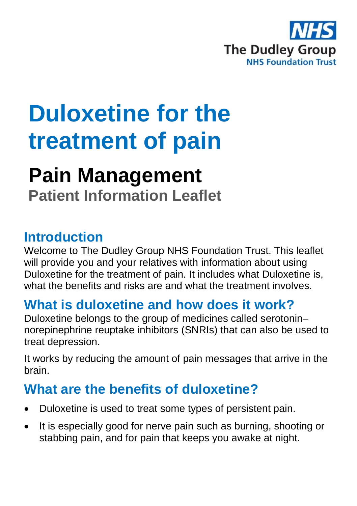

# **Duloxetine for the treatment of pain**

## **Pain Management**

**Patient Information Leaflet**

#### **Introduction**

Welcome to The Dudley Group NHS Foundation Trust. This leaflet will provide you and your relatives with information about using Duloxetine for the treatment of pain. It includes what Duloxetine is, what the benefits and risks are and what the treatment involves.

#### **What is duloxetine and how does it work?**

Duloxetine belongs to the group of medicines called serotonin– norepinephrine reuptake inhibitors (SNRIs) that can also be used to treat depression.

It works by reducing the amount of pain messages that arrive in the brain.

#### **What are the benefits of duloxetine?**

- Duloxetine is used to treat some types of persistent pain.
- It is especially good for nerve pain such as burning, shooting or stabbing pain, and for pain that keeps you awake at night.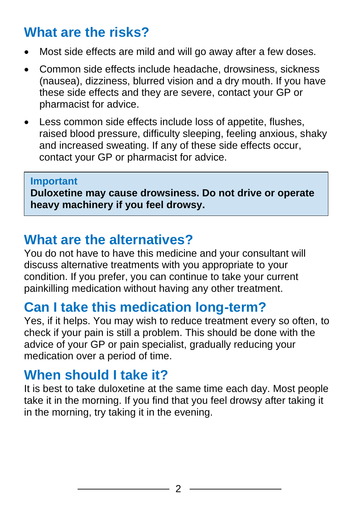#### **What are the risks?**

- Most side effects are mild and will go away after a few doses.
- Common side effects include headache, drowsiness, sickness (nausea), dizziness, blurred vision and a dry mouth. If you have these side effects and they are severe, contact your GP or pharmacist for advice.
- Less common side effects include loss of appetite, flushes, raised blood pressure, difficulty sleeping, feeling anxious, shaky and increased sweating. If any of these side effects occur, contact your GP or pharmacist for advice.

#### **Important**

**Duloxetine may cause drowsiness. Do not drive or operate heavy machinery if you feel drowsy.**

#### **What are the alternatives?**

You do not have to have this medicine and your consultant will discuss alternative treatments with you appropriate to your condition. If you prefer, you can continue to take your current painkilling medication without having any other treatment.

#### **Can I take this medication long-term?**

Yes, if it helps. You may wish to reduce treatment every so often, to check if your pain is still a problem. This should be done with the advice of your GP or pain specialist, gradually reducing your medication over a period of time.

#### **When should I take it?**

It is best to take duloxetine at the same time each day. Most people take it in the morning. If you find that you feel drowsy after taking it in the morning, try taking it in the evening.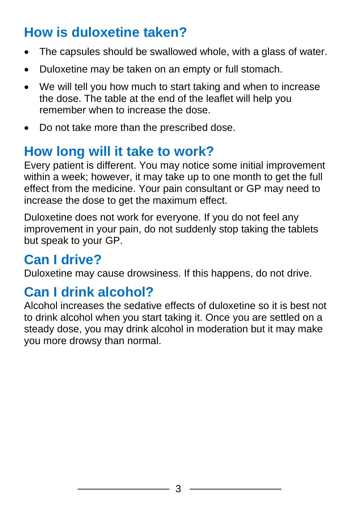## **How is duloxetine taken?**

- The capsules should be swallowed whole, with a glass of water.
- Duloxetine may be taken on an empty or full stomach.
- We will tell you how much to start taking and when to increase the dose. The table at the end of the leaflet will help you remember when to increase the dose.
- Do not take more than the prescribed dose.

## **How long will it take to work?**

Every patient is different. You may notice some initial improvement within a week; however, it may take up to one month to get the full effect from the medicine. Your pain consultant or GP may need to increase the dose to get the maximum effect.

Duloxetine does not work for everyone. If you do not feel any improvement in your pain, do not suddenly stop taking the tablets but speak to your GP.

## **Can I drive?**

Duloxetine may cause drowsiness. If this happens, do not drive.

#### **Can I drink alcohol?**

Alcohol increases the sedative effects of duloxetine so it is best not to drink alcohol when you start taking it. Once you are settled on a steady dose, you may drink alcohol in moderation but it may make you more drowsy than normal.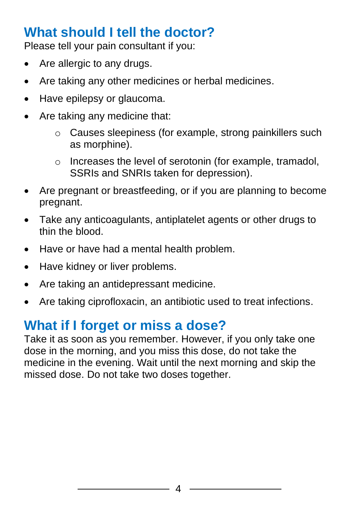#### **What should I tell the doctor?**

Please tell your pain consultant if you:

- Are allergic to any drugs.
- Are taking any other medicines or herbal medicines.
- Have epilepsy or glaucoma.
- Are taking any medicine that:
	- o Causes sleepiness (for example, strong painkillers such as morphine).
	- o Increases the level of serotonin (for example, tramadol, SSRIs and SNRIs taken for depression).
- Are pregnant or breastfeeding, or if you are planning to become pregnant.
- Take any anticoagulants, antiplatelet agents or other drugs to thin the blood.
- Have or have had a mental health problem.
- Have kidney or liver problems.
- Are taking an antidepressant medicine.
- Are taking ciprofloxacin, an antibiotic used to treat infections.

#### **What if I forget or miss a dose?**

Take it as soon as you remember. However, if you only take one dose in the morning, and you miss this dose, do not take the medicine in the evening. Wait until the next morning and skip the missed dose. Do not take two doses together.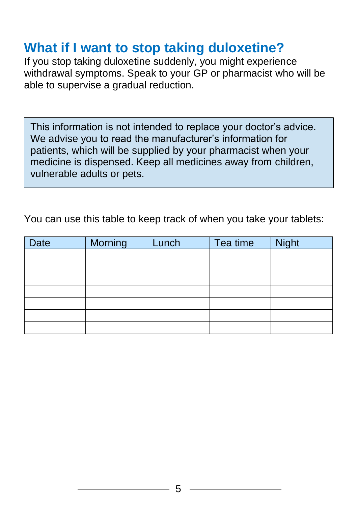#### **What if I want to stop taking duloxetine?**

If you stop taking duloxetine suddenly, you might experience withdrawal symptoms. Speak to your GP or pharmacist who will be able to supervise a gradual reduction.

This information is not intended to replace your doctor's advice. We advise you to read the manufacturer's information for patients, which will be supplied by your pharmacist when your medicine is dispensed. Keep all medicines away from children, vulnerable adults or pets.

You can use this table to keep track of when you take your tablets:

| <b>Date</b> | Morning | Lunch | Tea time | Night |
|-------------|---------|-------|----------|-------|
|             |         |       |          |       |
|             |         |       |          |       |
|             |         |       |          |       |
|             |         |       |          |       |
|             |         |       |          |       |
|             |         |       |          |       |
|             |         |       |          |       |